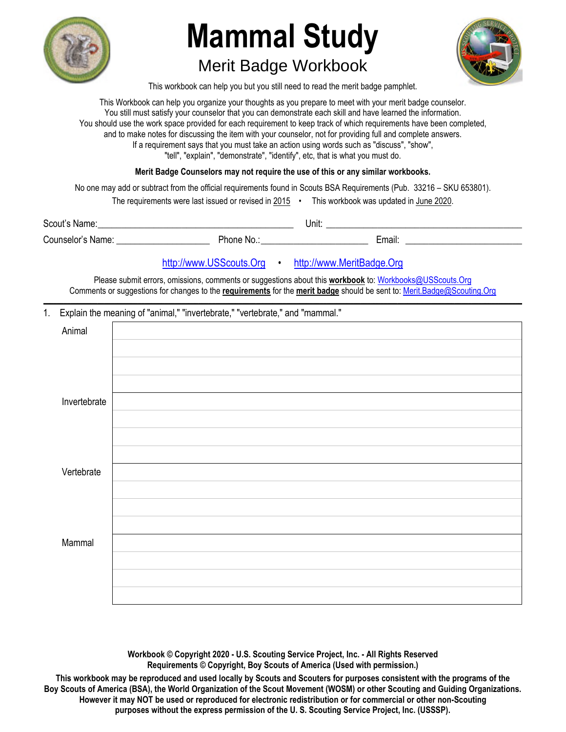

## **Mammal Study**

## Merit Badge Workbook



This workbook can help you but you still need to read the merit badge pamphlet.

This Workbook can help you organize your thoughts as you prepare to meet with your merit badge counselor. You still must satisfy your counselor that you can demonstrate each skill and have learned the information. You should use the work space provided for each requirement to keep track of which requirements have been completed, and to make notes for discussing the item with your counselor, not for providing full and complete answers. If a requirement says that you must take an action using words such as "discuss", "show", "tell", "explain", "demonstrate", "identify", etc, that is what you must do.

**Merit Badge Counselors may not require the use of this or any similar workbooks.**

No one may add or subtract from the official requirements found in Scouts BSA Requirements (Pub. 33216 – SKU 653801).

| The requirements were last issued or revised in 2015 |  | This workbook was updated in June 2020. |
|------------------------------------------------------|--|-----------------------------------------|
|------------------------------------------------------|--|-----------------------------------------|

| Scout's Name:     |          | Unit: |        |  |  |
|-------------------|----------|-------|--------|--|--|
| Counselor's Name: | Phone No |       | Email: |  |  |

## http://www.USScouts.Org • http://www.MeritBadge.Org

Please submit errors, omissions, comments or suggestions about this **workbook** to: Workbooks@USScouts.Org Comments or suggestions for changes to the **requirements** for the **merit badge** should be sent to: Merit.Badge@Scouting.Org *\_\_\_\_\_\_\_\_\_\_\_\_\_\_\_\_\_\_\_\_\_\_\_\_\_\_\_\_\_\_\_\_\_\_\_\_\_\_\_\_\_\_\_\_\_\_\_\_\_\_\_\_\_\_\_\_\_\_\_\_\_\_\_\_\_\_\_\_\_\_\_\_\_\_\_\_\_\_\_\_\_\_\_\_\_\_\_\_\_\_\_\_\_\_\_\_\_\_\_\_\_\_\_\_\_\_\_\_\_\_\_\_\_\_\_\_\_\_\_\_\_\_\_\_\_\_\_\_\_\_\_\_\_\_\_\_\_\_\_\_\_\_* 

## 1. Explain the meaning of "animal," "invertebrate," "vertebrate," and "mammal."

| Animal       |  |
|--------------|--|
|              |  |
|              |  |
|              |  |
| Invertebrate |  |
|              |  |
|              |  |
|              |  |
| Vertebrate   |  |
|              |  |
|              |  |
|              |  |
| Mammal       |  |
|              |  |
|              |  |
|              |  |

**Workbook © Copyright 2020 - U.S. Scouting Service Project, Inc. - All Rights Reserved Requirements © Copyright, Boy Scouts of America (Used with permission.)** 

**This workbook may be reproduced and used locally by Scouts and Scouters for purposes consistent with the programs of the Boy Scouts of America (BSA), the World Organization of the Scout Movement (WOSM) or other Scouting and Guiding Organizations. However it may NOT be used or reproduced for electronic redistribution or for commercial or other non-Scouting purposes without the express permission of the U. S. Scouting Service Project, Inc. (USSSP).**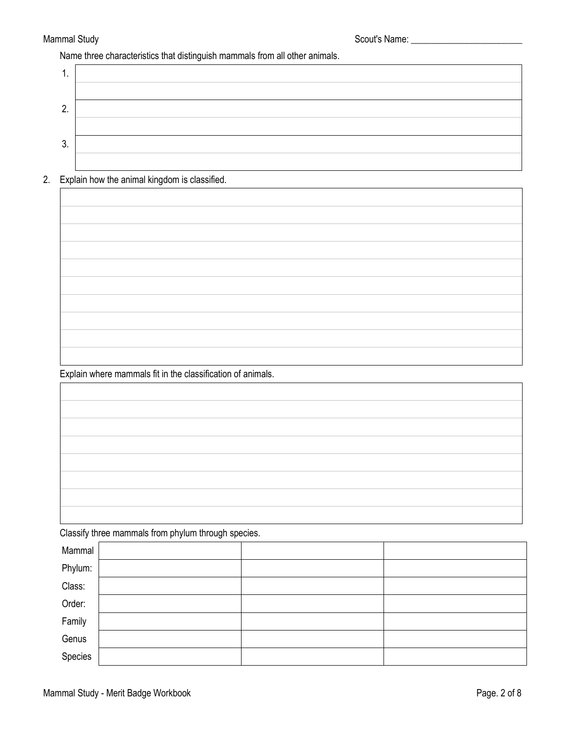Name three characteristics that distinguish mammals from all other animals.

| . .           |  |
|---------------|--|
|               |  |
| ŋ<br><u>.</u> |  |
|               |  |
| ົ<br>J.       |  |
|               |  |

2. Explain how the animal kingdom is classified.

Explain where mammals fit in the classification of animals.

Classify three mammals from phylum through species.

|         | . . |  |
|---------|-----|--|
| Mammal  |     |  |
| Phylum: |     |  |
| Class:  |     |  |
| Order:  |     |  |
| Family  |     |  |
| Genus   |     |  |
| Species |     |  |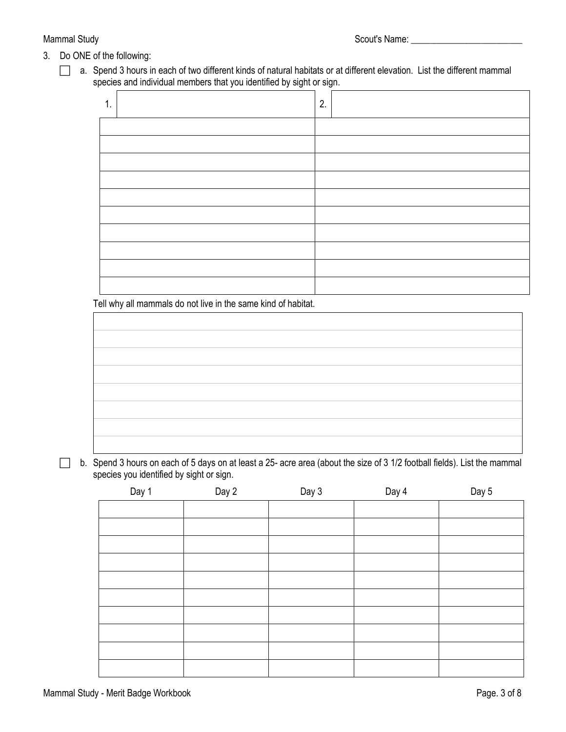- 3. Do ONE of the following:
	- $\Box$  a. Spend 3 hours in each of two different kinds of natural habitats or at different elevation. List the different mammal species and individual members that you identified by sight or sign.

| 1<br>н. | 2. |
|---------|----|
|         |    |
|         |    |
|         |    |
|         |    |
|         |    |
|         |    |
|         |    |
|         |    |
|         |    |
|         |    |

Tell why all mammals do not live in the same kind of habitat.

- 
- $\Box$  b. Spend 3 hours on each of 5 days on at least a 25- acre area (about the size of 3 1/2 football fields). List the mammal species you identified by sight or sign.

| Day 1 | Day 2 | Day 3 | Day 4 | Day 5 |
|-------|-------|-------|-------|-------|
|       |       |       |       |       |
|       |       |       |       |       |
|       |       |       |       |       |
|       |       |       |       |       |
|       |       |       |       |       |
|       |       |       |       |       |
|       |       |       |       |       |
|       |       |       |       |       |
|       |       |       |       |       |
|       |       |       |       |       |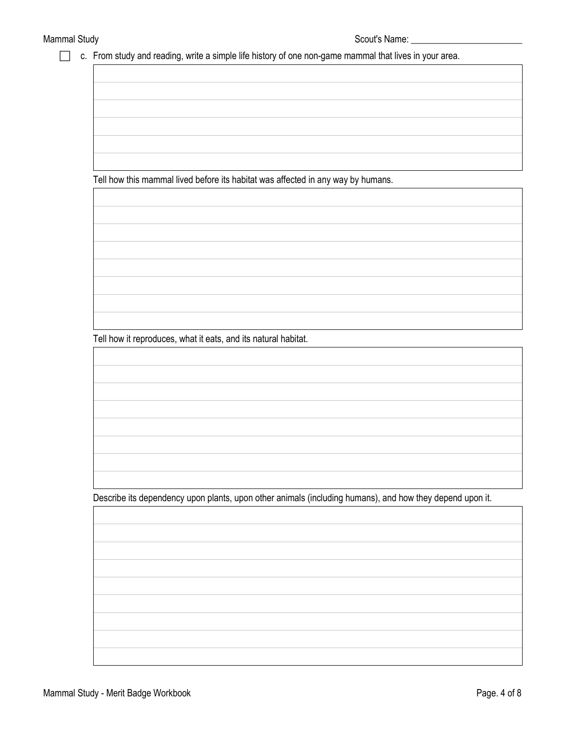c. From study and reading, write a simple life history of one non-game mammal that lives in your area.

Tell how this mammal lived before its habitat was affected in any way by humans.

Tell how it reproduces, what it eats, and its natural habitat.

Describe its dependency upon plants, upon other animals (including humans), and how they depend upon it.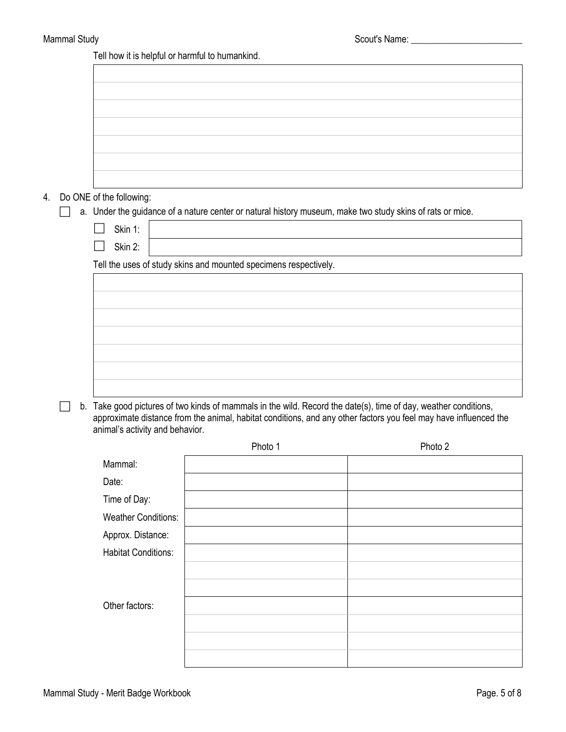Tell how it is helpful or harmful to humankind.

| 4. | Do ONE of the following:        |                                                                                                                 |                                                                                                                  |
|----|---------------------------------|-----------------------------------------------------------------------------------------------------------------|------------------------------------------------------------------------------------------------------------------|
|    |                                 | a. Under the guidance of a nature center or natural history museum, make two study skins of rats or mice.       |                                                                                                                  |
|    | Skin 1:                         |                                                                                                                 |                                                                                                                  |
|    | Skin 2:                         |                                                                                                                 |                                                                                                                  |
|    |                                 | Tell the uses of study skins and mounted specimens respectively.                                                |                                                                                                                  |
|    |                                 |                                                                                                                 |                                                                                                                  |
|    |                                 |                                                                                                                 |                                                                                                                  |
|    |                                 |                                                                                                                 |                                                                                                                  |
|    |                                 |                                                                                                                 |                                                                                                                  |
|    |                                 |                                                                                                                 |                                                                                                                  |
|    |                                 |                                                                                                                 |                                                                                                                  |
|    |                                 |                                                                                                                 |                                                                                                                  |
|    |                                 | b. Take good pictures of two kinds of mammals in the wild. Record the date(s), time of day, weather conditions, |                                                                                                                  |
|    |                                 |                                                                                                                 | approximate distance from the animal, habitat conditions, and any other factors you feel may have influenced the |
|    | animal's activity and behavior. |                                                                                                                 |                                                                                                                  |
|    |                                 | Photo 1                                                                                                         | Photo 2                                                                                                          |
|    | Mammal:                         |                                                                                                                 |                                                                                                                  |
|    | Date:                           |                                                                                                                 |                                                                                                                  |
|    | Time of Day:                    |                                                                                                                 |                                                                                                                  |
|    | <b>Weather Conditions:</b>      |                                                                                                                 |                                                                                                                  |
|    | Approx. Distance:               |                                                                                                                 |                                                                                                                  |
|    | <b>Habitat Conditions:</b>      |                                                                                                                 |                                                                                                                  |
|    |                                 |                                                                                                                 |                                                                                                                  |
|    |                                 |                                                                                                                 |                                                                                                                  |
|    | Other factors:                  |                                                                                                                 |                                                                                                                  |
|    |                                 |                                                                                                                 |                                                                                                                  |
|    |                                 |                                                                                                                 |                                                                                                                  |
|    |                                 |                                                                                                                 |                                                                                                                  |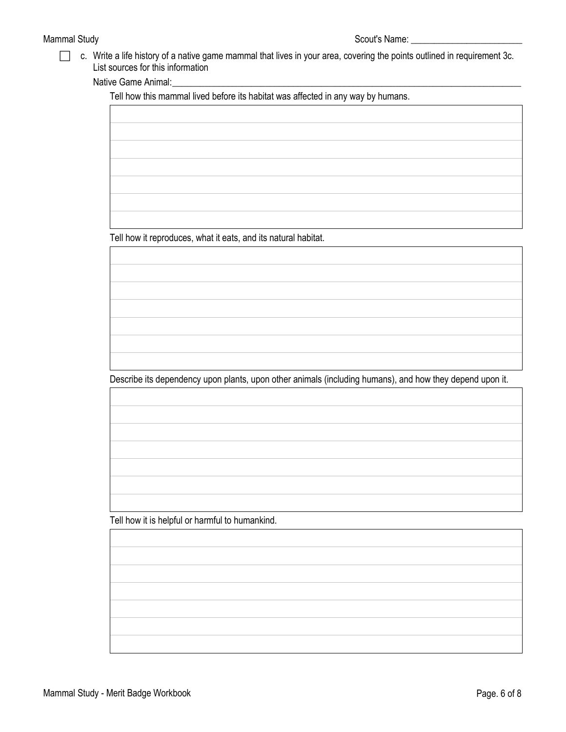c. Write a life history of a native game mammal that lives in your area, covering the points outlined in requirement 3c. List sources for this information

Native Game Animal:

Tell how this mammal lived before its habitat was affected in any way by humans.

Tell how it reproduces, what it eats, and its natural habitat.

Describe its dependency upon plants, upon other animals (including humans), and how they depend upon it.

Tell how it is helpful or harmful to humankind.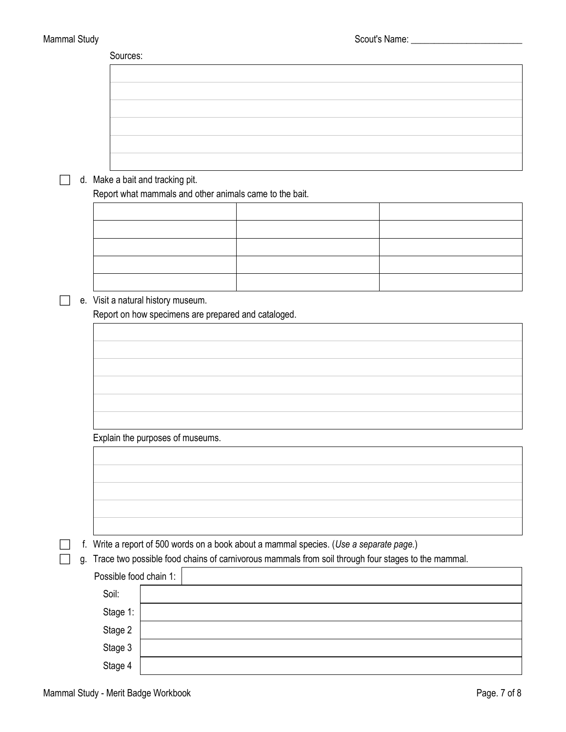|    | Sources:                           |  |                                                         |                                                                                         |                                                                                                    |
|----|------------------------------------|--|---------------------------------------------------------|-----------------------------------------------------------------------------------------|----------------------------------------------------------------------------------------------------|
|    |                                    |  |                                                         |                                                                                         |                                                                                                    |
|    |                                    |  |                                                         |                                                                                         |                                                                                                    |
|    |                                    |  |                                                         |                                                                                         |                                                                                                    |
|    |                                    |  |                                                         |                                                                                         |                                                                                                    |
|    |                                    |  |                                                         |                                                                                         |                                                                                                    |
|    |                                    |  |                                                         |                                                                                         |                                                                                                    |
|    |                                    |  |                                                         |                                                                                         |                                                                                                    |
|    | d. Make a bait and tracking pit.   |  |                                                         |                                                                                         |                                                                                                    |
|    |                                    |  | Report what mammals and other animals came to the bait. |                                                                                         |                                                                                                    |
|    |                                    |  |                                                         |                                                                                         |                                                                                                    |
|    |                                    |  |                                                         |                                                                                         |                                                                                                    |
|    |                                    |  |                                                         |                                                                                         |                                                                                                    |
|    |                                    |  |                                                         |                                                                                         |                                                                                                    |
|    |                                    |  |                                                         |                                                                                         |                                                                                                    |
|    | e. Visit a natural history museum. |  |                                                         |                                                                                         |                                                                                                    |
|    |                                    |  | Report on how specimens are prepared and cataloged.     |                                                                                         |                                                                                                    |
|    |                                    |  |                                                         |                                                                                         |                                                                                                    |
|    |                                    |  |                                                         |                                                                                         |                                                                                                    |
|    |                                    |  |                                                         |                                                                                         |                                                                                                    |
|    |                                    |  |                                                         |                                                                                         |                                                                                                    |
|    |                                    |  |                                                         |                                                                                         |                                                                                                    |
|    |                                    |  |                                                         |                                                                                         |                                                                                                    |
|    |                                    |  |                                                         |                                                                                         |                                                                                                    |
|    | Explain the purposes of museums.   |  |                                                         |                                                                                         |                                                                                                    |
|    |                                    |  |                                                         |                                                                                         |                                                                                                    |
|    |                                    |  |                                                         |                                                                                         |                                                                                                    |
|    |                                    |  |                                                         |                                                                                         |                                                                                                    |
|    |                                    |  |                                                         |                                                                                         |                                                                                                    |
|    |                                    |  |                                                         |                                                                                         |                                                                                                    |
|    |                                    |  |                                                         | f. Write a report of 500 words on a book about a mammal species. (Use a separate page.) |                                                                                                    |
| g. |                                    |  |                                                         |                                                                                         | Trace two possible food chains of carnivorous mammals from soil through four stages to the mammal. |
|    | Possible food chain 1:             |  |                                                         |                                                                                         |                                                                                                    |
|    | Soil:                              |  |                                                         |                                                                                         |                                                                                                    |
|    | Stage 1:                           |  |                                                         |                                                                                         |                                                                                                    |
|    | Stage 2                            |  |                                                         |                                                                                         |                                                                                                    |
|    | Stage 3                            |  |                                                         |                                                                                         |                                                                                                    |
|    |                                    |  |                                                         |                                                                                         |                                                                                                    |
|    | Stage 4                            |  |                                                         |                                                                                         |                                                                                                    |